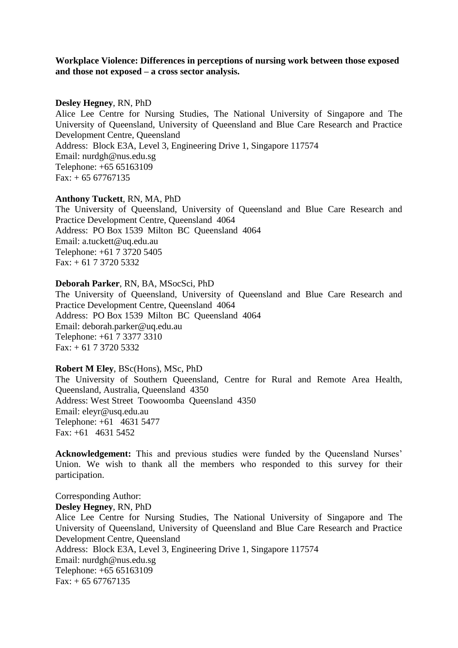# **Workplace Violence: Differences in perceptions of nursing work between those exposed and those not exposed – a cross sector analysis.**

## **Desley Hegney**, RN, PhD

Alice Lee Centre for Nursing Studies, The National University of Singapore and The University of Queensland, University of Queensland and Blue Care Research and Practice Development Centre, Queensland Address: Block E3A, Level 3, Engineering Drive 1, Singapore 117574 Email: nurdgh@nus.edu.sg Telephone: +65 65163109  $Fax: + 65 67767135$ 

## **Anthony Tuckett**, RN, MA, PhD

The University of Queensland, University of Queensland and Blue Care Research and Practice Development Centre, Queensland 4064 Address: PO Box 1539 Milton BC Queensland 4064 Email: a.tuckett@uq.edu.au Telephone: +61 7 3720 5405 Fax: + 61 7 3720 5332

# **Deborah Parker**, RN, BA, MSocSci, PhD

The University of Queensland, University of Queensland and Blue Care Research and Practice Development Centre, Queensland 4064 Address: PO Box 1539 Milton BC Queensland 4064 Email: deborah.parker@uq.edu.au Telephone: +61 7 3377 3310  $Fax: + 61 7 3720 5332$ 

#### **Robert M Eley**, BSc(Hons), MSc, PhD

The University of Southern Queensland, Centre for Rural and Remote Area Health, Queensland, Australia, Queensland 4350 Address: West Street Toowoomba Queensland 4350 Email: eleyr@usq.edu.au Telephone: +61 4631 5477 Fax: +61 4631 5452

Acknowledgement: This and previous studies were funded by the Queensland Nurses' Union. We wish to thank all the members who responded to this survey for their participation.

Corresponding Author: **Desley Hegney**, RN, PhD Alice Lee Centre for Nursing Studies, The National University of Singapore and The University of Queensland, University of Queensland and Blue Care Research and Practice Development Centre, Queensland Address: Block E3A, Level 3, Engineering Drive 1, Singapore 117574 Email: nurdgh@nus.edu.sg Telephone: +65 65163109  $Fax: + 65 67767135$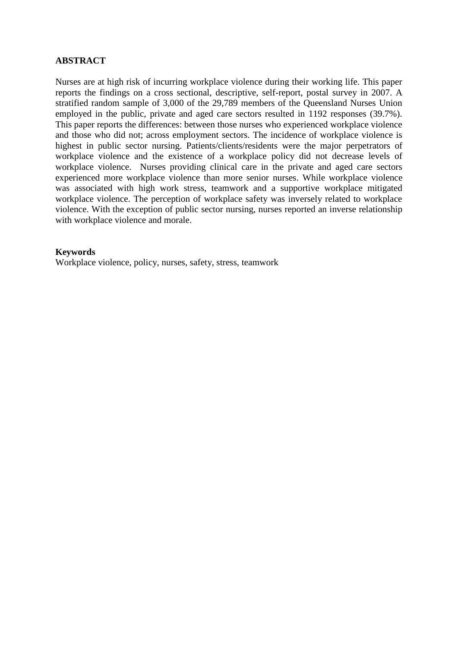# **ABSTRACT**

Nurses are at high risk of incurring workplace violence during their working life. This paper reports the findings on a cross sectional, descriptive, self-report, postal survey in 2007. A stratified random sample of 3,000 of the 29,789 members of the Queensland Nurses Union employed in the public, private and aged care sectors resulted in 1192 responses (39.7%). This paper reports the differences: between those nurses who experienced workplace violence and those who did not; across employment sectors. The incidence of workplace violence is highest in public sector nursing. Patients/clients/residents were the major perpetrators of workplace violence and the existence of a workplace policy did not decrease levels of workplace violence. Nurses providing clinical care in the private and aged care sectors experienced more workplace violence than more senior nurses. While workplace violence was associated with high work stress, teamwork and a supportive workplace mitigated workplace violence. The perception of workplace safety was inversely related to workplace violence. With the exception of public sector nursing, nurses reported an inverse relationship with workplace violence and morale.

# **Keywords**

Workplace violence, policy, nurses, safety, stress, teamwork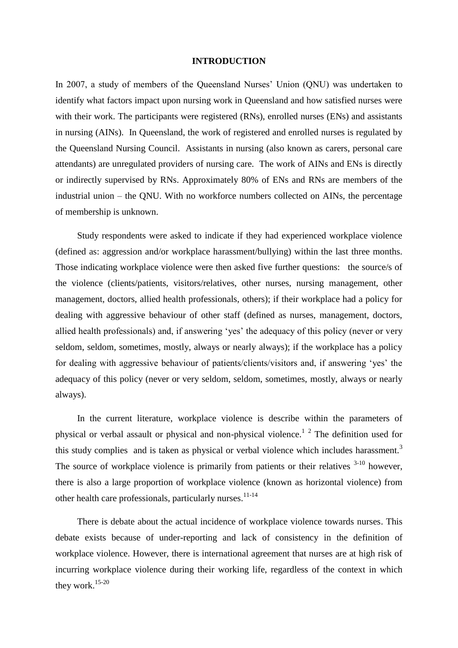### **INTRODUCTION**

In 2007, a study of members of the Queensland Nurses' Union (QNU) was undertaken to identify what factors impact upon nursing work in Queensland and how satisfied nurses were with their work. The participants were registered (RNs), enrolled nurses (ENs) and assistants in nursing (AINs). In Queensland, the work of registered and enrolled nurses is regulated by the Queensland Nursing Council. Assistants in nursing (also known as carers, personal care attendants) are unregulated providers of nursing care. The work of AINs and ENs is directly or indirectly supervised by RNs. Approximately 80% of ENs and RNs are members of the industrial union – the QNU. With no workforce numbers collected on AINs, the percentage of membership is unknown.

Study respondents were asked to indicate if they had experienced workplace violence (defined as: aggression and/or workplace harassment/bullying) within the last three months. Those indicating workplace violence were then asked five further questions: the source/s of the violence (clients/patients, visitors/relatives, other nurses, nursing management, other management, doctors, allied health professionals, others); if their workplace had a policy for dealing with aggressive behaviour of other staff (defined as nurses, management, doctors, allied health professionals) and, if answering "yes" the adequacy of this policy (never or very seldom, seldom, sometimes, mostly, always or nearly always); if the workplace has a policy for dealing with aggressive behaviour of patients/clients/visitors and, if answering "yes" the adequacy of this policy (never or very seldom, seldom, sometimes, mostly, always or nearly always).

In the current literature, workplace violence is describe within the parameters of physical or verbal assault or physical and non-physical violence.<sup>1</sup>  $2$  The definition used for this study complies and is taken as physical or verbal violence which includes harassment.<sup>3</sup> The source of workplace violence is primarily from patients or their relatives  $3-10$  however, there is also a large proportion of workplace violence (known as horizontal violence) from other health care professionals, particularly nurses.<sup>11-14</sup>

There is debate about the actual incidence of workplace violence towards nurses. This debate exists because of under-reporting and lack of consistency in the definition of workplace violence. However, there is international agreement that nurses are at high risk of incurring workplace violence during their working life, regardless of the context in which they work.15-20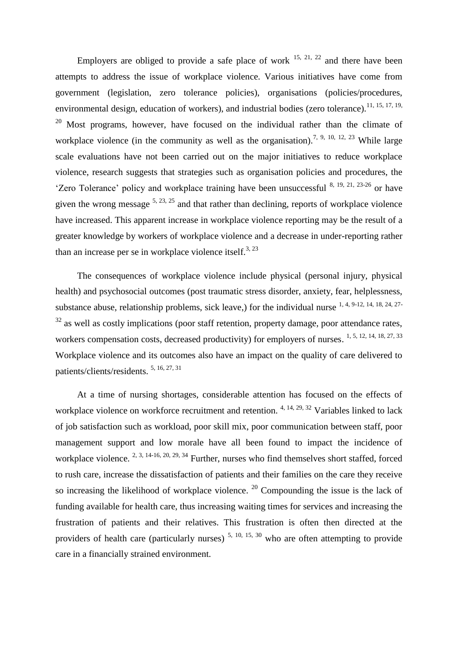Employers are obliged to provide a safe place of work  $15, 21, 22$  and there have been attempts to address the issue of workplace violence. Various initiatives have come from government (legislation, zero tolerance policies), organisations (policies/procedures, environmental design, education of workers), and industrial bodies (zero tolerance).<sup>11, 15, 17, 19,</sup> <sup>20</sup> Most programs, however, have focused on the individual rather than the climate of workplace violence (in the community as well as the organisation).<sup>7, 9, 10, 12, 23</sup> While large scale evaluations have not been carried out on the major initiatives to reduce workplace violence, research suggests that strategies such as organisation policies and procedures, the 'Zero Tolerance' policy and workplace training have been unsuccessful <sup>8, 19, 21, 23-26</sup> or have given the wrong message  $5, 23, 25$  and that rather than declining, reports of workplace violence have increased. This apparent increase in workplace violence reporting may be the result of a greater knowledge by workers of workplace violence and a decrease in under-reporting rather than an increase per se in workplace violence itself.<sup>3, 23</sup>

The consequences of workplace violence include physical (personal injury, physical health) and psychosocial outcomes (post traumatic stress disorder, anxiety, fear, helplessness, substance abuse, relationship problems, sick leave,) for the individual nurse 1, 4, 9-12, 14, 18, 24, 27-  $32$  as well as costly implications (poor staff retention, property damage, poor attendance rates, workers compensation costs, decreased productivity) for employers of nurses. <sup>1, 5, 12, 14, 18, 27, 33</sup> Workplace violence and its outcomes also have an impact on the quality of care delivered to patients/clients/residents. 5, 16, 27, 31

At a time of nursing shortages, considerable attention has focused on the effects of workplace violence on workforce recruitment and retention. <sup>4, 14, 29, 32</sup> Variables linked to lack of job satisfaction such as workload, poor skill mix, poor communication between staff, poor management support and low morale have all been found to impact the incidence of workplace violence. <sup>2, 3, 14-16, 20, 29, 34</sup> Further, nurses who find themselves short staffed, forced to rush care, increase the dissatisfaction of patients and their families on the care they receive so increasing the likelihood of workplace violence.  $20$  Compounding the issue is the lack of funding available for health care, thus increasing waiting times for services and increasing the frustration of patients and their relatives. This frustration is often then directed at the providers of health care (particularly nurses)  $5, 10, 15, 30$  who are often attempting to provide care in a financially strained environment.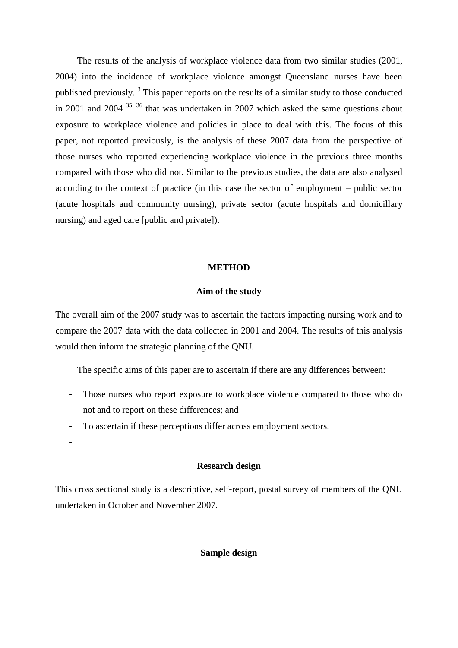The results of the analysis of workplace violence data from two similar studies (2001, 2004) into the incidence of workplace violence amongst Queensland nurses have been published previously.<sup>3</sup> This paper reports on the results of a similar study to those conducted in 2001 and 2004 35, 36 that was undertaken in 2007 which asked the same questions about exposure to workplace violence and policies in place to deal with this. The focus of this paper, not reported previously, is the analysis of these 2007 data from the perspective of those nurses who reported experiencing workplace violence in the previous three months compared with those who did not. Similar to the previous studies, the data are also analysed according to the context of practice (in this case the sector of employment – public sector (acute hospitals and community nursing), private sector (acute hospitals and domicillary nursing) and aged care [public and private]).

# **METHOD**

## **Aim of the study**

The overall aim of the 2007 study was to ascertain the factors impacting nursing work and to compare the 2007 data with the data collected in 2001 and 2004. The results of this analysis would then inform the strategic planning of the QNU.

The specific aims of this paper are to ascertain if there are any differences between:

- Those nurses who report exposure to workplace violence compared to those who do not and to report on these differences; and
- To ascertain if these perceptions differ across employment sectors.

-

# **Research design**

This cross sectional study is a descriptive, self-report, postal survey of members of the QNU undertaken in October and November 2007.

## **Sample design**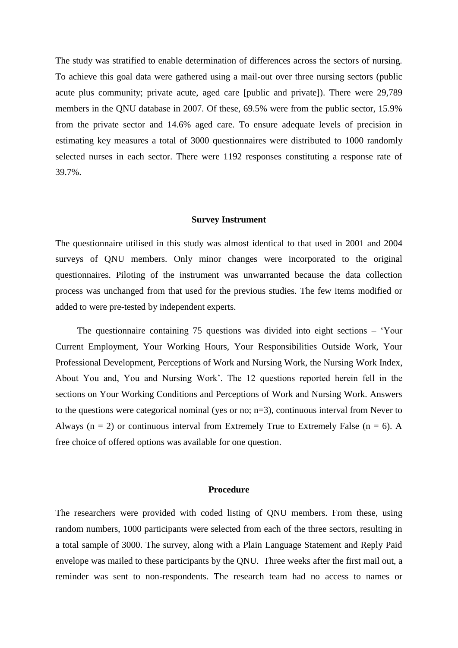The study was stratified to enable determination of differences across the sectors of nursing. To achieve this goal data were gathered using a mail-out over three nursing sectors (public acute plus community; private acute, aged care [public and private]). There were 29,789 members in the QNU database in 2007. Of these, 69.5% were from the public sector, 15.9% from the private sector and 14.6% aged care. To ensure adequate levels of precision in estimating key measures a total of 3000 questionnaires were distributed to 1000 randomly selected nurses in each sector. There were 1192 responses constituting a response rate of 39.7%.

#### **Survey Instrument**

The questionnaire utilised in this study was almost identical to that used in 2001 and 2004 surveys of QNU members. Only minor changes were incorporated to the original questionnaires. Piloting of the instrument was unwarranted because the data collection process was unchanged from that used for the previous studies. The few items modified or added to were pre-tested by independent experts.

The questionnaire containing 75 questions was divided into eight sections – "Your Current Employment, Your Working Hours, Your Responsibilities Outside Work, Your Professional Development, Perceptions of Work and Nursing Work, the Nursing Work Index, About You and, You and Nursing Work". The 12 questions reported herein fell in the sections on Your Working Conditions and Perceptions of Work and Nursing Work. Answers to the questions were categorical nominal (yes or no; n=3), continuous interval from Never to Always ( $n = 2$ ) or continuous interval from Extremely True to Extremely False ( $n = 6$ ). A free choice of offered options was available for one question.

#### **Procedure**

The researchers were provided with coded listing of QNU members. From these, using random numbers, 1000 participants were selected from each of the three sectors, resulting in a total sample of 3000. The survey, along with a Plain Language Statement and Reply Paid envelope was mailed to these participants by the QNU. Three weeks after the first mail out, a reminder was sent to non-respondents. The research team had no access to names or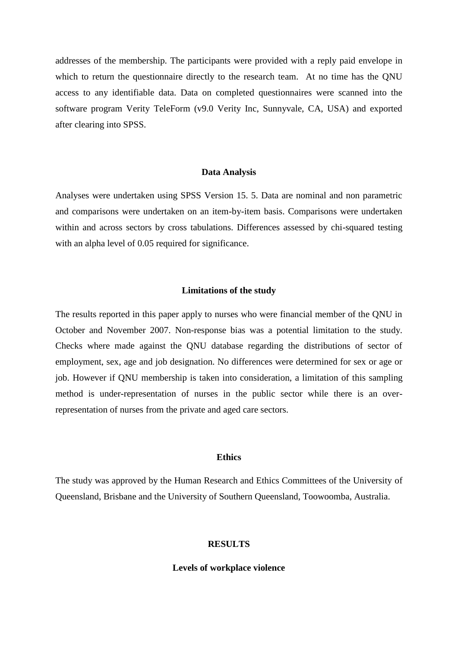addresses of the membership. The participants were provided with a reply paid envelope in which to return the questionnaire directly to the research team. At no time has the QNU access to any identifiable data. Data on completed questionnaires were scanned into the software program Verity TeleForm (v9.0 Verity Inc, Sunnyvale, CA, USA) and exported after clearing into SPSS.

#### **Data Analysis**

Analyses were undertaken using SPSS Version 15. 5. Data are nominal and non parametric and comparisons were undertaken on an item-by-item basis. Comparisons were undertaken within and across sectors by cross tabulations. Differences assessed by chi-squared testing with an alpha level of 0.05 required for significance.

#### **Limitations of the study**

The results reported in this paper apply to nurses who were financial member of the QNU in October and November 2007. Non-response bias was a potential limitation to the study. Checks where made against the QNU database regarding the distributions of sector of employment, sex, age and job designation. No differences were determined for sex or age or job. However if QNU membership is taken into consideration, a limitation of this sampling method is under-representation of nurses in the public sector while there is an overrepresentation of nurses from the private and aged care sectors.

## **Ethics**

The study was approved by the Human Research and Ethics Committees of the University of Queensland, Brisbane and the University of Southern Queensland, Toowoomba, Australia.

## **RESULTS**

#### **Levels of workplace violence**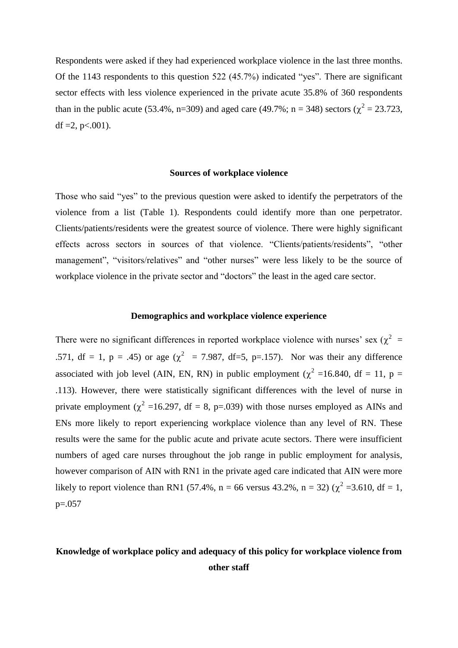Respondents were asked if they had experienced workplace violence in the last three months. Of the 1143 respondents to this question 522 (45.7%) indicated "yes". There are significant sector effects with less violence experienced in the private acute 35.8% of 360 respondents than in the public acute (53.4%, n=309) and aged care (49.7%; n = 348) sectors ( $\chi^2$  = 23.723, df  $=2$ , p $< 001$ ).

## **Sources of workplace violence**

Those who said "yes" to the previous question were asked to identify the perpetrators of the violence from a list (Table 1). Respondents could identify more than one perpetrator. Clients/patients/residents were the greatest source of violence. There were highly significant effects across sectors in sources of that violence. "Clients/patients/residents", "other management", "visitors/relatives" and "other nurses" were less likely to be the source of workplace violence in the private sector and "doctors" the least in the aged care sector.

# **Demographics and workplace violence experience**

There were no significant differences in reported workplace violence with nurses' sex ( $\chi^2$  = .571, df = 1, p = .45) or age ( $\chi^2$  = 7.987, df=5, p=.157). Nor was their any difference associated with job level (AIN, EN, RN) in public employment ( $\chi^2$  =16.840, df = 11, p = .113). However, there were statistically significant differences with the level of nurse in private employment ( $\chi^2$  =16.297, df = 8, p=.039) with those nurses employed as AINs and ENs more likely to report experiencing workplace violence than any level of RN. These results were the same for the public acute and private acute sectors. There were insufficient numbers of aged care nurses throughout the job range in public employment for analysis, however comparison of AIN with RN1 in the private aged care indicated that AIN were more likely to report violence than RN1 (57.4%, n = 66 versus 43.2%, n = 32) ( $\chi^2$  =3.610, df = 1,  $p=.057$ 

# **Knowledge of workplace policy and adequacy of this policy for workplace violence from other staff**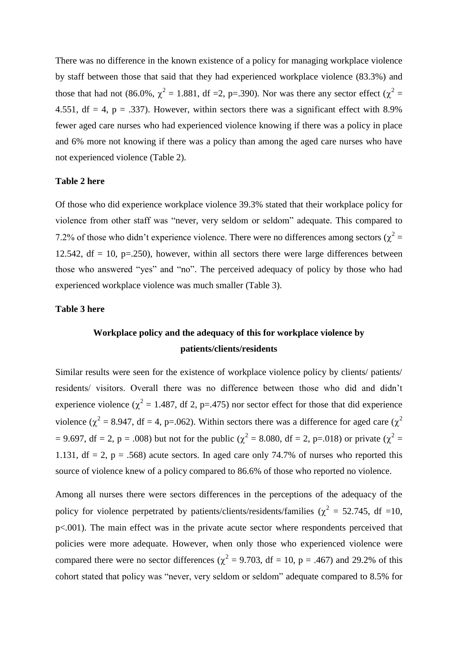There was no difference in the known existence of a policy for managing workplace violence by staff between those that said that they had experienced workplace violence (83.3%) and those that had not (86.0%,  $\chi^2 = 1.881$ , df =2, p=.390). Nor was there any sector effect ( $\chi^2 =$ 4.551, df = 4, p = .337). However, within sectors there was a significant effect with 8.9% fewer aged care nurses who had experienced violence knowing if there was a policy in place and 6% more not knowing if there was a policy than among the aged care nurses who have not experienced violence (Table 2).

# **Table 2 here**

Of those who did experience workplace violence 39.3% stated that their workplace policy for violence from other staff was "never, very seldom or seldom" adequate. This compared to 7.2% of those who didn't experience violence. There were no differences among sectors ( $\chi^2$  = 12.542, df = 10, p=.250), however, within all sectors there were large differences between those who answered "yes" and "no". The perceived adequacy of policy by those who had experienced workplace violence was much smaller (Table 3).

## **Table 3 here**

# **Workplace policy and the adequacy of this for workplace violence by patients/clients/residents**

Similar results were seen for the existence of workplace violence policy by clients/ patients/ residents/ visitors. Overall there was no difference between those who did and didn"t experience violence ( $\chi^2$  = 1.487, df 2, p=.475) nor sector effect for those that did experience violence ( $\chi^2$  = 8.947, df = 4, p=.062). Within sectors there was a difference for aged care ( $\chi^2$ ) = 9.697, df = 2, p = .008) but not for the public ( $\chi^2$  = 8.080, df = 2, p=.018) or private ( $\chi^2$  = 1.131,  $df = 2$ ,  $p = .568$ ) acute sectors. In aged care only 74.7% of nurses who reported this source of violence knew of a policy compared to 86.6% of those who reported no violence.

Among all nurses there were sectors differences in the perceptions of the adequacy of the policy for violence perpetrated by patients/clients/residents/families ( $\chi^2$  = 52.745, df =10, p<.001). The main effect was in the private acute sector where respondents perceived that policies were more adequate. However, when only those who experienced violence were compared there were no sector differences ( $\chi^2$  = 9.703, df = 10, p = .467) and 29.2% of this cohort stated that policy was "never, very seldom or seldom" adequate compared to 8.5% for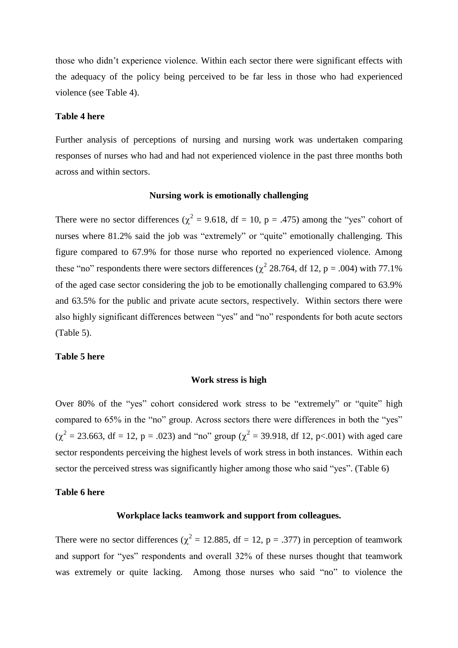those who didn"t experience violence. Within each sector there were significant effects with the adequacy of the policy being perceived to be far less in those who had experienced violence (see Table 4).

## **Table 4 here**

Further analysis of perceptions of nursing and nursing work was undertaken comparing responses of nurses who had and had not experienced violence in the past three months both across and within sectors.

## **Nursing work is emotionally challenging**

There were no sector differences ( $\chi^2$  = 9.618, df = 10, p = .475) among the "yes" cohort of nurses where 81.2% said the job was "extremely" or "quite" emotionally challenging. This figure compared to 67.9% for those nurse who reported no experienced violence. Among these "no" respondents there were sectors differences ( $\chi^2$  28.764, df 12, p = .004) with 77.1% of the aged case sector considering the job to be emotionally challenging compared to 63.9% and 63.5% for the public and private acute sectors, respectively. Within sectors there were also highly significant differences between "yes" and "no" respondents for both acute sectors (Table 5).

#### **Table 5 here**

#### **Work stress is high**

Over 80% of the "yes" cohort considered work stress to be "extremely" or "quite" high compared to 65% in the "no" group. Across sectors there were differences in both the "yes"  $(\chi^2 = 23.663, df = 12, p = .023)$  and "no" group ( $\chi^2 = 39.918$ , df 12, p<.001) with aged care sector respondents perceiving the highest levels of work stress in both instances. Within each sector the perceived stress was significantly higher among those who said "yes". (Table 6)

## **Table 6 here**

# **Workplace lacks teamwork and support from colleagues.**

There were no sector differences ( $\chi^2 = 12.885$ , df = 12, p = .377) in perception of teamwork and support for "yes" respondents and overall 32% of these nurses thought that teamwork was extremely or quite lacking. Among those nurses who said "no" to violence the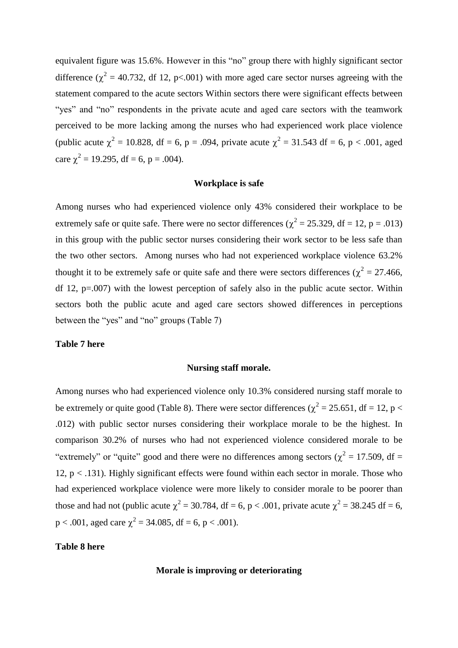equivalent figure was 15.6%. However in this "no" group there with highly significant sector difference ( $\chi^2$  = 40.732, df 12, p<.001) with more aged care sector nurses agreeing with the statement compared to the acute sectors Within sectors there were significant effects between "yes" and "no" respondents in the private acute and aged care sectors with the teamwork perceived to be more lacking among the nurses who had experienced work place violence (public acute  $\chi^2 = 10.828$ , df = 6, p = .094, private acute  $\chi^2 = 31.543$  df = 6, p < .001, aged care  $\chi^2 = 19.295$ , df = 6, p = .004).

## **Workplace is safe**

Among nurses who had experienced violence only 43% considered their workplace to be extremely safe or quite safe. There were no sector differences ( $\chi^2 = 25.329$ , df = 12, p = .013) in this group with the public sector nurses considering their work sector to be less safe than the two other sectors. Among nurses who had not experienced workplace violence 63.2% thought it to be extremely safe or quite safe and there were sectors differences ( $\chi^2$  = 27.466, df 12,  $p=0.007$ ) with the lowest perception of safely also in the public acute sector. Within sectors both the public acute and aged care sectors showed differences in perceptions between the "yes" and "no" groups (Table 7)

# **Table 7 here**

## **Nursing staff morale.**

Among nurses who had experienced violence only 10.3% considered nursing staff morale to be extremely or quite good (Table 8). There were sector differences ( $\chi^2 = 25.651$ , df = 12, p < .012) with public sector nurses considering their workplace morale to be the highest. In comparison 30.2% of nurses who had not experienced violence considered morale to be "extremely" or "quite" good and there were no differences among sectors ( $\chi^2$  = 17.509, df = 12,  $p < .131$ ). Highly significant effects were found within each sector in morale. Those who had experienced workplace violence were more likely to consider morale to be poorer than those and had not (public acute  $\chi^2 = 30.784$ , df = 6, p < .001, private acute  $\chi^2 = 38.245$  df = 6,  $p < .001$ , aged care  $\chi^2 = 34.085$ , df = 6, p < .001).

## **Table 8 here**

## **Morale is improving or deteriorating**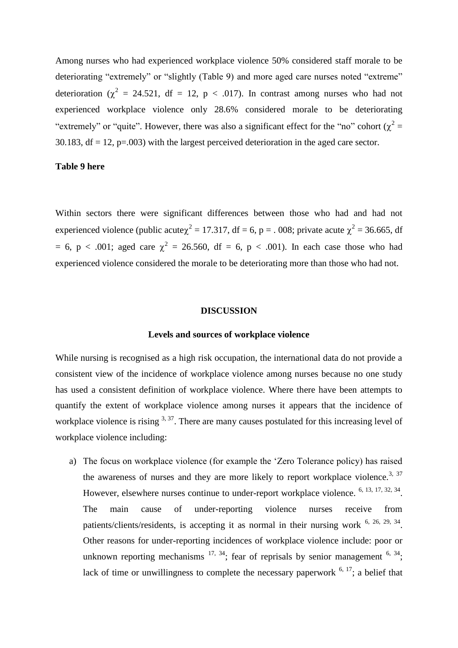Among nurses who had experienced workplace violence 50% considered staff morale to be deteriorating "extremely" or "slightly (Table 9) and more aged care nurses noted "extreme" deterioration ( $\chi^2$  = 24.521, df = 12, p < .017). In contrast among nurses who had not experienced workplace violence only 28.6% considered morale to be deteriorating "extremely" or "quite". However, there was also a significant effect for the "no" cohort ( $\chi^2$  = 30.183,  $df = 12$ ,  $p = .003$ ) with the largest perceived deterioration in the aged care sector.

#### **Table 9 here**

Within sectors there were significant differences between those who had and had not experienced violence (public acute $\chi^2 = 17.317$ , df = 6, p = . 008; private acute  $\chi^2 = 36.665$ , df = 6, p < .001; aged care  $\chi^2$  = 26.560, df = 6, p < .001). In each case those who had experienced violence considered the morale to be deteriorating more than those who had not.

#### **DISCUSSION**

#### **Levels and sources of workplace violence**

While nursing is recognised as a high risk occupation, the international data do not provide a consistent view of the incidence of workplace violence among nurses because no one study has used a consistent definition of workplace violence. Where there have been attempts to quantify the extent of workplace violence among nurses it appears that the incidence of workplace violence is rising  $3, 37$ . There are many causes postulated for this increasing level of workplace violence including:

a) The focus on workplace violence (for example the "Zero Tolerance policy) has raised the awareness of nurses and they are more likely to report workplace violence.<sup>3, 37</sup> However, elsewhere nurses continue to under-report workplace violence. <sup>6, 13, 17, 32, 34</sup>. The main cause of under-reporting violence nurses receive from patients/clients/residents, is accepting it as normal in their nursing work <sup>6, 26, 29, 34</sup>. Other reasons for under-reporting incidences of workplace violence include: poor or unknown reporting mechanisms  $^{17, 34}$ ; fear of reprisals by senior management  $^{6, 34}$ ; lack of time or unwillingness to complete the necessary paperwork  $6, 17$ ; a belief that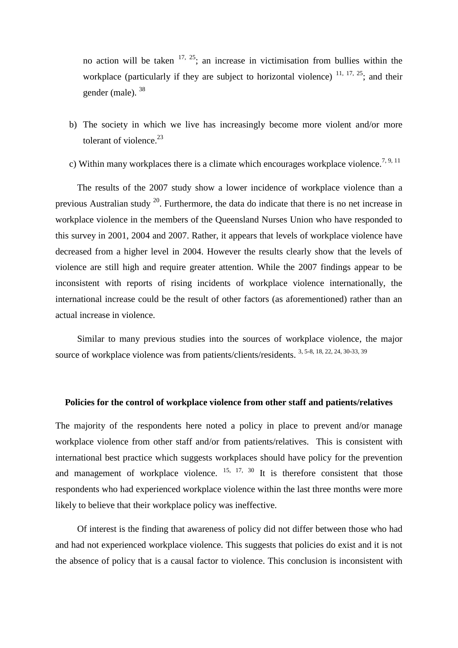no action will be taken  $17, 25$ ; an increase in victimisation from bullies within the workplace (particularly if they are subject to horizontal violence)  $11, 17, 25$ ; and their gender (male). <sup>38</sup>

- b) The society in which we live has increasingly become more violent and/or more tolerant of violence. $^{23}$
- c) Within many workplaces there is a climate which encourages workplace violence.<sup>7, 9, 11</sup>

The results of the 2007 study show a lower incidence of workplace violence than a previous Australian study  $^{20}$ . Furthermore, the data do indicate that there is no net increase in workplace violence in the members of the Queensland Nurses Union who have responded to this survey in 2001, 2004 and 2007. Rather, it appears that levels of workplace violence have decreased from a higher level in 2004. However the results clearly show that the levels of violence are still high and require greater attention. While the 2007 findings appear to be inconsistent with reports of rising incidents of workplace violence internationally, the international increase could be the result of other factors (as aforementioned) rather than an actual increase in violence.

Similar to many previous studies into the sources of workplace violence, the major source of workplace violence was from patients/clients/residents. 3, 5-8, 18, 22, 24, 30-33, 39

#### **Policies for the control of workplace violence from other staff and patients/relatives**

The majority of the respondents here noted a policy in place to prevent and/or manage workplace violence from other staff and/or from patients/relatives. This is consistent with international best practice which suggests workplaces should have policy for the prevention and management of workplace violence.  $15, 17, 30$  It is therefore consistent that those respondents who had experienced workplace violence within the last three months were more likely to believe that their workplace policy was ineffective.

Of interest is the finding that awareness of policy did not differ between those who had and had not experienced workplace violence. This suggests that policies do exist and it is not the absence of policy that is a causal factor to violence. This conclusion is inconsistent with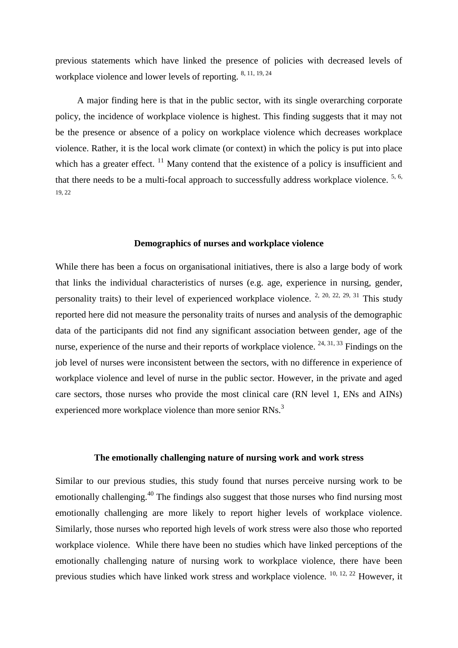previous statements which have linked the presence of policies with decreased levels of workplace violence and lower levels of reporting. 8, 11, 19, 24

A major finding here is that in the public sector, with its single overarching corporate policy, the incidence of workplace violence is highest. This finding suggests that it may not be the presence or absence of a policy on workplace violence which decreases workplace violence. Rather, it is the local work climate (or context) in which the policy is put into place which has a greater effect.  $\frac{11}{11}$  Many contend that the existence of a policy is insufficient and that there needs to be a multi-focal approach to successfully address workplace violence.  $5, 6$ , 19, 22

#### **Demographics of nurses and workplace violence**

While there has been a focus on organisational initiatives, there is also a large body of work that links the individual characteristics of nurses (e.g. age, experience in nursing, gender, personality traits) to their level of experienced workplace violence. <sup>2, 20, 22, 29, 31</sup> This study reported here did not measure the personality traits of nurses and analysis of the demographic data of the participants did not find any significant association between gender, age of the nurse, experience of the nurse and their reports of workplace violence. <sup>24, 31, 33</sup> Findings on the job level of nurses were inconsistent between the sectors, with no difference in experience of workplace violence and level of nurse in the public sector. However, in the private and aged care sectors, those nurses who provide the most clinical care (RN level 1, ENs and AINs) experienced more workplace violence than more senior RNs.<sup>3</sup>

### **The emotionally challenging nature of nursing work and work stress**

Similar to our previous studies, this study found that nurses perceive nursing work to be emotionally challenging.<sup>40</sup> The findings also suggest that those nurses who find nursing most emotionally challenging are more likely to report higher levels of workplace violence. Similarly, those nurses who reported high levels of work stress were also those who reported workplace violence. While there have been no studies which have linked perceptions of the emotionally challenging nature of nursing work to workplace violence, there have been previous studies which have linked work stress and workplace violence. 10, 12, 22 However, it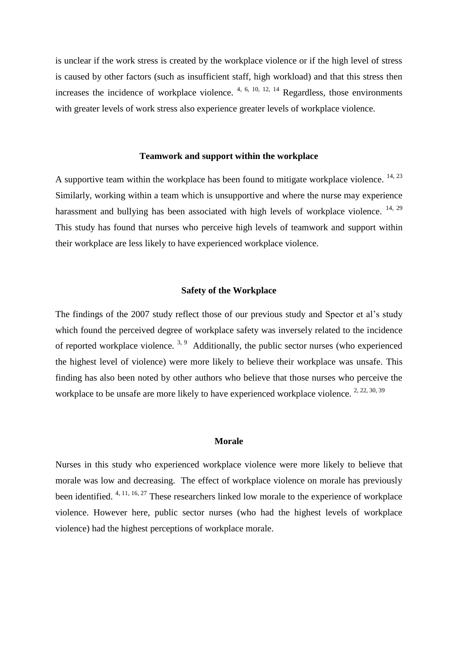is unclear if the work stress is created by the workplace violence or if the high level of stress is caused by other factors (such as insufficient staff, high workload) and that this stress then increases the incidence of workplace violence. 4, 6, 10, 12, 14 Regardless, those environments with greater levels of work stress also experience greater levels of workplace violence.

# **Teamwork and support within the workplace**

A supportive team within the workplace has been found to mitigate workplace violence.  $14, 23$ Similarly, working within a team which is unsupportive and where the nurse may experience harassment and bullying has been associated with high levels of workplace violence.  $^{14, 29}$ This study has found that nurses who perceive high levels of teamwork and support within their workplace are less likely to have experienced workplace violence.

## **Safety of the Workplace**

The findings of the 2007 study reflect those of our previous study and Spector et al"s study which found the perceived degree of workplace safety was inversely related to the incidence of reported workplace violence.  $3.9$  Additionally, the public sector nurses (who experienced the highest level of violence) were more likely to believe their workplace was unsafe. This finding has also been noted by other authors who believe that those nurses who perceive the workplace to be unsafe are more likely to have experienced workplace violence. <sup>2, 22, 30, 39</sup>

# **Morale**

Nurses in this study who experienced workplace violence were more likely to believe that morale was low and decreasing. The effect of workplace violence on morale has previously been identified. 4, 11, 16, 27 These researchers linked low morale to the experience of workplace violence. However here, public sector nurses (who had the highest levels of workplace violence) had the highest perceptions of workplace morale.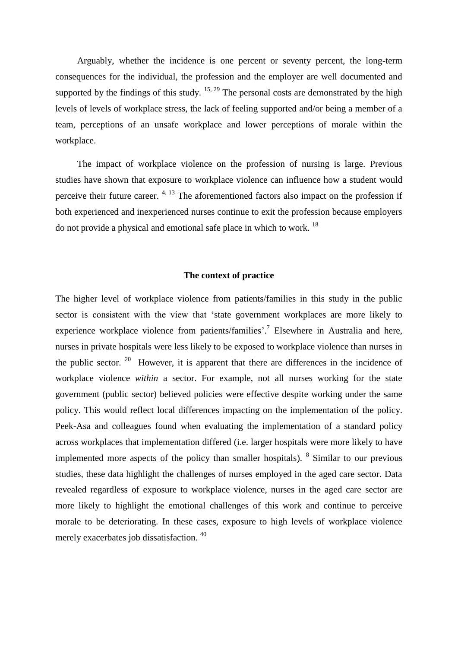Arguably, whether the incidence is one percent or seventy percent, the long-term consequences for the individual, the profession and the employer are well documented and supported by the findings of this study.  $15, 29$  The personal costs are demonstrated by the high levels of levels of workplace stress, the lack of feeling supported and/or being a member of a team, perceptions of an unsafe workplace and lower perceptions of morale within the workplace.

The impact of workplace violence on the profession of nursing is large. Previous studies have shown that exposure to workplace violence can influence how a student would perceive their future career.  $4, 13$  The aforementioned factors also impact on the profession if both experienced and inexperienced nurses continue to exit the profession because employers do not provide a physical and emotional safe place in which to work. <sup>18</sup>

# **The context of practice**

The higher level of workplace violence from patients/families in this study in the public sector is consistent with the view that "state government workplaces are more likely to experience workplace violence from patients/families'.<sup>7</sup> Elsewhere in Australia and here, nurses in private hospitals were less likely to be exposed to workplace violence than nurses in the public sector.  $20$  However, it is apparent that there are differences in the incidence of workplace violence *within* a sector. For example, not all nurses working for the state government (public sector) believed policies were effective despite working under the same policy. This would reflect local differences impacting on the implementation of the policy. Peek-Asa and colleagues found when evaluating the implementation of a standard policy across workplaces that implementation differed (i.e. larger hospitals were more likely to have implemented more aspects of the policy than smaller hospitals).  $8 \sinh ar$  to our previous studies, these data highlight the challenges of nurses employed in the aged care sector. Data revealed regardless of exposure to workplace violence, nurses in the aged care sector are more likely to highlight the emotional challenges of this work and continue to perceive morale to be deteriorating. In these cases, exposure to high levels of workplace violence merely exacerbates job dissatisfaction. <sup>40</sup>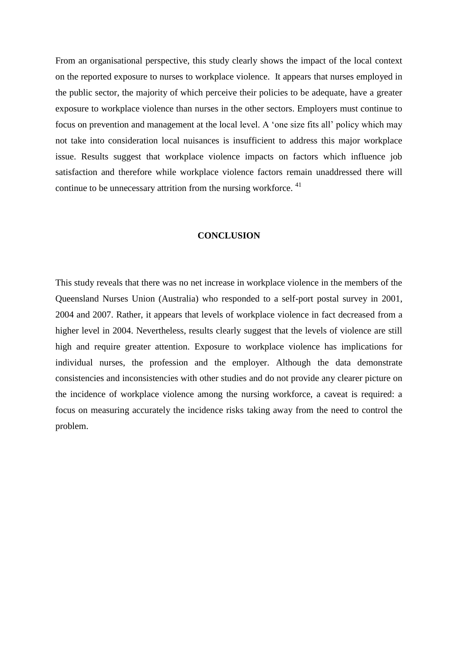From an organisational perspective, this study clearly shows the impact of the local context on the reported exposure to nurses to workplace violence. It appears that nurses employed in the public sector, the majority of which perceive their policies to be adequate, have a greater exposure to workplace violence than nurses in the other sectors. Employers must continue to focus on prevention and management at the local level. A "one size fits all" policy which may not take into consideration local nuisances is insufficient to address this major workplace issue. Results suggest that workplace violence impacts on factors which influence job satisfaction and therefore while workplace violence factors remain unaddressed there will continue to be unnecessary attrition from the nursing workforce.<sup>41</sup>

#### **CONCLUSION**

This study reveals that there was no net increase in workplace violence in the members of the Queensland Nurses Union (Australia) who responded to a self-port postal survey in 2001, 2004 and 2007. Rather, it appears that levels of workplace violence in fact decreased from a higher level in 2004. Nevertheless, results clearly suggest that the levels of violence are still high and require greater attention. Exposure to workplace violence has implications for individual nurses, the profession and the employer. Although the data demonstrate consistencies and inconsistencies with other studies and do not provide any clearer picture on the incidence of workplace violence among the nursing workforce, a caveat is required: a focus on measuring accurately the incidence risks taking away from the need to control the problem.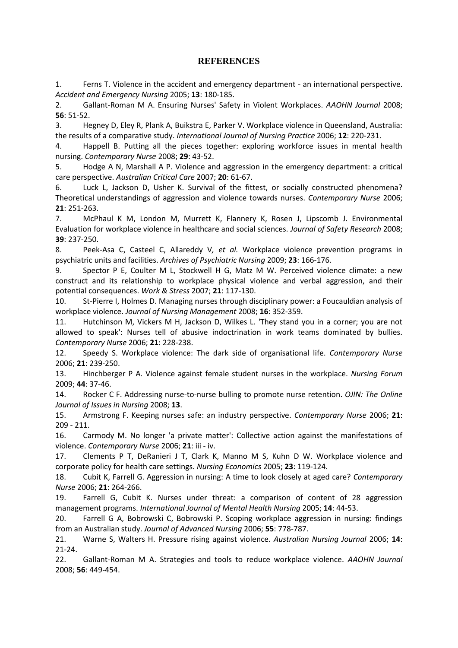# **REFERENCES**

1. Ferns T. Violence in the accident and emergency department - an international perspective. *Accident and Emergency Nursing* 2005; **13**: 180-185.

2. Gallant-Roman M A. Ensuring Nurses' Safety in Violent Workplaces. *AAOHN Journal* 2008; **56**: 51-52.

3. Hegney D, Eley R, Plank A, Buikstra E, Parker V. Workplace violence in Queensland, Australia: the results of a comparative study. *International Journal of Nursing Practice* 2006; **12**: 220-231.

4. Happell B. Putting all the pieces together: exploring workforce issues in mental health nursing. *Contemporary Nurse* 2008; **29**: 43-52.

5. Hodge A N, Marshall A P. Violence and aggression in the emergency department: a critical care perspective. *Australian Critical Care* 2007; **20**: 61-67.

6. Luck L, Jackson D, Usher K. Survival of the fittest, or socially constructed phenomena? Theoretical understandings of aggression and violence towards nurses. *Contemporary Nurse* 2006; **21**: 251-263.

7. McPhaul K M, London M, Murrett K, Flannery K, Rosen J, Lipscomb J. Environmental Evaluation for workplace violence in healthcare and social sciences. *Journal of Safety Research* 2008; **39**: 237-250.

8. Peek-Asa C, Casteel C, Allareddy V*, et al.* Workplace violence prevention programs in psychiatric units and facilities. *Archives of Psychiatric Nursing* 2009; **23**: 166-176.

9. Spector P E, Coulter M L, Stockwell H G, Matz M W. Perceived violence climate: a new construct and its relationship to workplace physical violence and verbal aggression, and their potential consequences. *Work & Stress* 2007; **21**: 117-130.

10. St-Pierre I, Holmes D. Managing nurses through disciplinary power: a Foucauldian analysis of workplace violence. *Journal of Nursing Management* 2008; **16**: 352-359.

11. Hutchinson M, Vickers M H, Jackson D, Wilkes L. 'They stand you in a corner; you are not allowed to speak': Nurses tell of abusive indoctrination in work teams dominated by bullies. *Contemporary Nurse* 2006; **21**: 228-238.

12. Speedy S. Workplace violence: The dark side of organisational life. *Contemporary Nurse* 2006; **21**: 239-250.

13. Hinchberger P A. Violence against female student nurses in the workplace. *Nursing Forum* 2009; **44**: 37-46.

14. Rocker C F. Addressing nurse-to-nurse bulling to promote nurse retention. *OJIN: The Online Journal of Issues in Nursing* 2008; **13**.

15. Armstrong F. Keeping nurses safe: an industry perspective. *Contemporary Nurse* 2006; **21**: 209 - 211.

16. Carmody M. No longer 'a private matter': Collective action against the manifestations of violence. *Contemporary Nurse* 2006; **21**: iii - iv.

17. Clements P T, DeRanieri J T, Clark K, Manno M S, Kuhn D W. Workplace violence and corporate policy for health care settings. *Nursing Economics* 2005; **23**: 119-124.

18. Cubit K, Farrell G. Aggression in nursing: A time to look closely at aged care? *Contemporary Nurse* 2006; **21**: 264-266.

19. Farrell G, Cubit K. Nurses under threat: a comparison of content of 28 aggression management programs. *International Journal of Mental Health Nursing* 2005; **14**: 44-53.

20. Farrell G A, Bobrowski C, Bobrowski P. Scoping workplace aggression in nursing: findings from an Australian study. *Journal of Advanced Nursing* 2006; **55**: 778-787.

21. Warne S, Walters H. Pressure rising against violence. *Australian Nursing Journal* 2006; **14**: 21-24.

22. Gallant-Roman M A. Strategies and tools to reduce workplace violence. *AAOHN Journal* 2008; **56**: 449-454.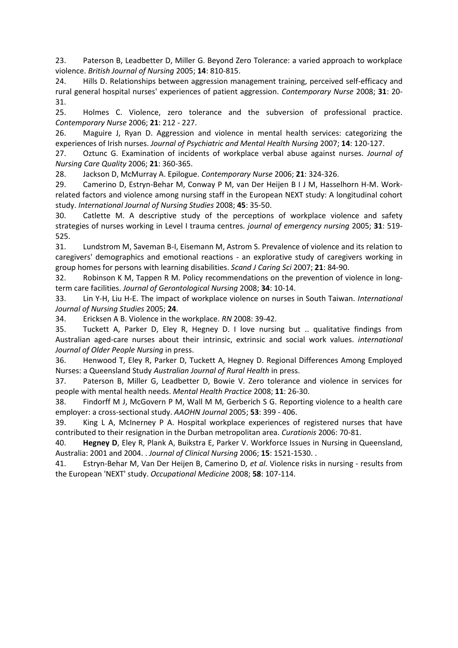23. Paterson B, Leadbetter D, Miller G. Beyond Zero Tolerance: a varied approach to workplace violence. *British Journal of Nursing* 2005; **14**: 810-815.

24. Hills D. Relationships between aggression management training, perceived self-efficacy and rural general hospital nurses' experiences of patient aggression. *Contemporary Nurse* 2008; **31**: 20- 31.

25. Holmes C. Violence, zero tolerance and the subversion of professional practice. *Contemporary Nurse* 2006; **21**: 212 - 227.

26. Maguire J, Ryan D. Aggression and violence in mental health services: categorizing the experiences of Irish nurses. *Journal of Psychiatric and Mental Health Nursing* 2007; **14**: 120-127.

27. Oztunc G. Examination of incidents of workplace verbal abuse against nurses. *Journal of Nursing Care Quality* 2006; **21**: 360-365.

28. Jackson D, McMurray A. Epilogue. *Contemporary Nurse* 2006; **21**: 324-326.

29. Camerino D, Estryn-Behar M, Conway P M, van Der Heijen B I J M, Hasselhorn H-M. Workrelated factors and violence among nursing staff in the European NEXT study: A longitudinal cohort study. *International Journal of Nursing Studies* 2008; **45**: 35-50.

30. Catlette M. A descriptive study of the perceptions of workplace violence and safety strategies of nurses working in Level I trauma centres. *journal of emergency nursing* 2005; **31**: 519- 525.

31. Lundstrom M, Saveman B-I, Eisemann M, Astrom S. Prevalence of violence and its relation to caregivers' demographics and emotional reactions - an explorative study of caregivers working in group homes for persons with learning disabilities. *Scand J Caring Sci* 2007; **21**: 84-90.

32. Robinson K M, Tappen R M. Policy recommendations on the prevention of violence in longterm care facilities. *Journal of Gerontological Nursing* 2008; **34**: 10-14.

33. Lin Y-H, Liu H-E. The impact of workplace violence on nurses in South Taiwan. *International Journal of Nursing Studies* 2005; **24**.

34. Ericksen A B. Violence in the workplace. *RN* 2008: 39-42.

35. Tuckett A, Parker D, Eley R, Hegney D. I love nursing but .. qualitative findings from Australian aged-care nurses about their intrinsic, extrinsic and social work values. *international Journal of Older People Nursing* in press.

36. Henwood T, Eley R, Parker D, Tuckett A, Hegney D. Regional Differences Among Employed Nurses: a Queensland Study *Australian Journal of Rural Health* in press.

37. Paterson B, Miller G, Leadbetter D, Bowie V. Zero tolerance and violence in services for people with mental health needs. *Mental Health Practice* 2008; **11**: 26-30.

38. Findorff M J, McGovern P M, Wall M M, Gerberich S G. Reporting violence to a health care employer: a cross-sectional study. *AAOHN Journal* 2005; **53**: 399 - 406.

39. King L A, McInerney P A. Hospital workplace experiences of registered nurses that have contributed to their resignation in the Durban metropolitan area. *Curationis* 2006: 70-81.

40. **Hegney D**, Eley R, Plank A, Buikstra E, Parker V. Workforce Issues in Nursing in Queensland, Australia: 2001 and 2004. . *Journal of Clinical Nursing* 2006; **15**: 1521-1530. .

41. Estryn-Behar M, Van Der Heijen B, Camerino D*, et al.* Violence risks in nursing - results from the European 'NEXT' study. *Occupational Medicine* 2008; **58**: 107-114.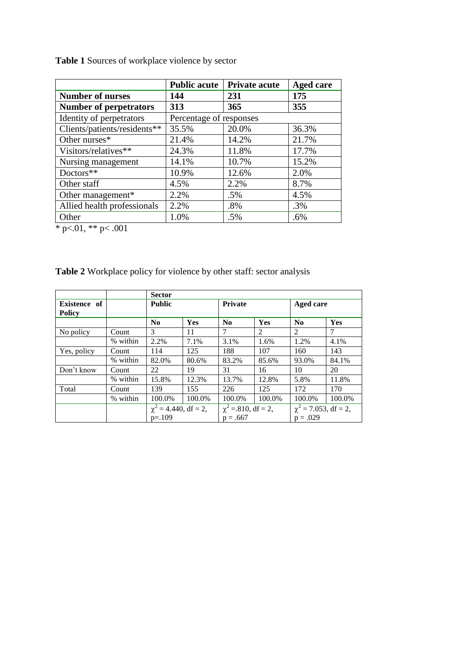|                               | <b>Public acute</b>     | <b>Private acute</b> | <b>Aged care</b> |
|-------------------------------|-------------------------|----------------------|------------------|
| <b>Number of nurses</b>       | 144                     | 231                  | 175              |
| <b>Number of perpetrators</b> | 313                     | 365                  | 355              |
| Identity of perpetrators      | Percentage of responses |                      |                  |
| Clients/patients/residents**  | 35.5%                   | 20.0%                | 36.3%            |
| Other nurses*                 | 21.4%                   | 14.2%                | 21.7%            |
| Visitors/relatives**          | 24.3%                   | 11.8%                | 17.7%            |
| Nursing management            | 14.1%                   | 10.7%                | 15.2%            |
| Doctors**                     | 10.9%                   | 12.6%                | 2.0%             |
| Other staff                   | 4.5%                    | 2.2%                 | 8.7%             |
| Other management*             | 2.2%                    | $.5\%$               | 4.5%             |
| Allied health professionals   | 2.2%                    | .8%                  | .3%              |
| Other                         | 1.0%                    | $.5\%$               | .6%              |

**Table 1** Sources of workplace violence by sector

 $*$  p $< 0.01$ ,  $*$  p $< 0.001$ 

|                               |          | <b>Sector</b>             |        |                         |        |                           |            |
|-------------------------------|----------|---------------------------|--------|-------------------------|--------|---------------------------|------------|
| Existence of<br><b>Policy</b> |          | <b>Public</b>             |        | Private                 |        | Aged care                 |            |
|                               |          | $\bf No$                  | Yes    | N <sub>0</sub>          | Yes    | N <sub>0</sub>            | <b>Yes</b> |
| No policy                     | Count    | 3                         | 11     | 7                       | 2      | $\mathfrak{D}$            | 7          |
|                               | % within | 2.2%                      | 7.1%   | 3.1%                    | 1.6%   | 1.2%                      | 4.1%       |
| Yes, policy                   | Count    | 114                       | 125    | 188                     | 107    | 160                       | 143        |
|                               | % within | 82.0%                     | 80.6%  | 83.2%                   | 85.6%  | 93.0%                     | 84.1%      |
| Don't know                    | Count    | 22                        | 19     | 31                      | 16     | 10                        | 20         |
|                               | % within | 15.8%                     | 12.3%  | 13.7%                   | 12.8%  | 5.8%                      | 11.8%      |
| Total                         | Count    | 139                       | 155    | 226                     | 125    | 172                       | 170        |
|                               | % within | 100.0%                    | 100.0% | 100.0%                  | 100.0% | 100.0%                    | 100.0%     |
|                               |          | $\chi^2$ = 4.440, df = 2, |        | $\chi^2$ = 810, df = 2, |        | $\chi^2$ = 7.053, df = 2, |            |
|                               |          | $p = 109$                 |        | $p = .667$              |        | $p = .029$                |            |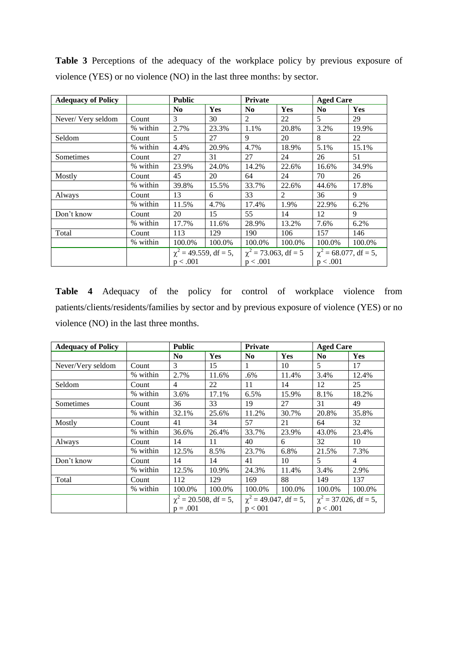| <b>Adequacy of Policy</b> |          | <b>Public</b>              |        | <b>Private</b>            |                | <b>Aged Care</b>           |            |
|---------------------------|----------|----------------------------|--------|---------------------------|----------------|----------------------------|------------|
|                           |          | N <sub>0</sub>             | Yes    | N <sub>0</sub>            | <b>Yes</b>     | N <sub>0</sub>             | <b>Yes</b> |
| Never/Very seldom         | Count    | 3                          | 30     | 2                         | 22             | 5                          | 29         |
|                           | % within | 2.7%                       | 23.3%  | 1.1%                      | 20.8%          | 3.2%                       | 19.9%      |
| Seldom                    | Count    | 5                          | 27     | 9                         | 20             | 8                          | 22         |
|                           | % within | 4.4%                       | 20.9%  | 4.7%                      | 18.9%          | 5.1%                       | 15.1%      |
| Sometimes                 | Count    | 27                         | 31     | 27                        | 24             | 26                         | 51         |
|                           | % within | 23.9%                      | 24.0%  | 14.2%                     | 22.6%          | 16.6%                      | 34.9%      |
| Mostly                    | Count    | 45                         | 20     | 64                        | 24             | 70                         | 26         |
|                           | % within | 39.8%                      | 15.5%  | 33.7%                     | 22.6%          | 44.6%                      | 17.8%      |
| Always                    | Count    | 13                         | 6      | 33                        | $\mathfrak{D}$ | 36                         | 9          |
|                           | % within | 11.5%                      | 4.7%   | 17.4%                     | 1.9%           | 22.9%                      | 6.2%       |
| Don't know                | Count    | 20                         | 15     | 55                        | 14             | 12                         | 9          |
|                           | % within | 17.7%                      | 11.6%  | 28.9%                     | 13.2%          | 7.6%                       | 6.2%       |
| Total                     | Count    | 113                        | 129    | 190                       | 106            | 157                        | 146        |
|                           | % within | 100.0%                     | 100.0% | 100.0%                    | 100.0%         | 100.0%                     | 100.0%     |
|                           |          | $\chi^2$ = 49.559, df = 5, |        | $\chi^2$ = 73.063, df = 5 |                | $\chi^2$ = 68.077, df = 5, |            |
|                           |          | p < .001                   |        | p < .001                  |                | p < .001                   |            |

**Table 3** Perceptions of the adequacy of the workplace policy by previous exposure of violence (YES) or no violence (NO) in the last three months: by sector.

**Table 4** Adequacy of the policy for control of workplace violence from patients/clients/residents/families by sector and by previous exposure of violence (YES) or no violence (NO) in the last three months.

| <b>Adequacy of Policy</b> |          | <b>Public</b>              |        | Private                    |            | <b>Aged Care</b>           |                |
|---------------------------|----------|----------------------------|--------|----------------------------|------------|----------------------------|----------------|
|                           |          | N <sub>0</sub>             | Yes    | N <sub>0</sub>             | <b>Yes</b> | N <sub>0</sub>             | Yes            |
| Never/Very seldom         | Count    | 3                          | 15     | 1                          | 10         | 5                          | 17             |
|                           | % within | 2.7%                       | 11.6%  | .6%                        | 11.4%      | 3.4%                       | 12.4%          |
| Seldom                    | Count    | $\overline{4}$             | 22     | 11                         | 14         | 12                         | 25             |
|                           | % within | 3.6%                       | 17.1%  | 6.5%                       | 15.9%      | 8.1%                       | 18.2%          |
| Sometimes                 | Count    | 36                         | 33     | 19                         | 27         | 31                         | 49             |
|                           | % within | 32.1%                      | 25.6%  | 11.2%                      | 30.7%      | 20.8%                      | 35.8%          |
| Mostly                    | Count    | 41                         | 34     | 57                         | 21         | 64                         | 32             |
|                           | % within | 36.6%                      | 26.4%  | 33.7%                      | 23.9%      | 43.0%                      | 23.4%          |
| Always                    | Count    | 14                         | 11     | 40                         | 6          | 32                         | 10             |
|                           | % within | 12.5%                      | 8.5%   | 23.7%                      | 6.8%       | 21.5%                      | 7.3%           |
| Don't know                | Count    | 14                         | 14     | 41                         | 10         | 5                          | $\overline{4}$ |
|                           | % within | 12.5%                      | 10.9%  | 24.3%                      | 11.4%      | 3.4%                       | 2.9%           |
| Total                     | Count    | 112                        | 129    | 169                        | 88         | 149                        | 137            |
|                           | % within | 100.0%                     | 100.0% | 100.0%                     | 100.0%     | 100.0%                     | 100.0%         |
|                           |          | $\chi^2$ = 20.508, df = 5, |        | $\chi^2$ = 49.047, df = 5, |            | $\chi^2$ = 37.026, df = 5, |                |
|                           |          | $p = .001$                 |        | p < 001                    |            | p < .001                   |                |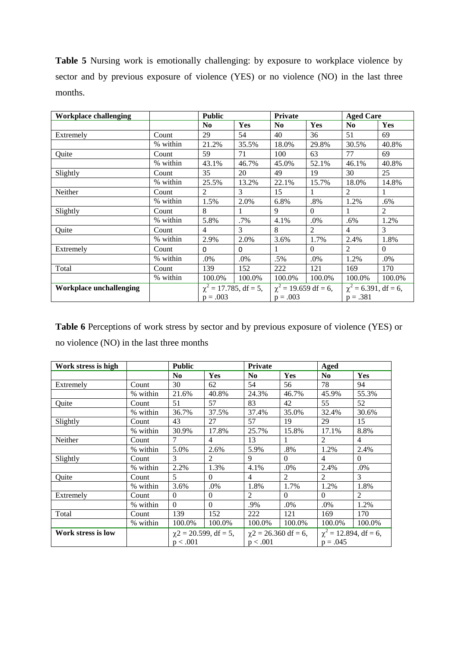**Table 5** Nursing work is emotionally challenging: by exposure to workplace violence by sector and by previous exposure of violence (YES) or no violence (NO) in the last three months.

| <b>Workplace challenging</b>   |          | <b>Public</b>                             |          | <b>Private</b>                          |                | <b>Aged Care</b>                        |                |
|--------------------------------|----------|-------------------------------------------|----------|-----------------------------------------|----------------|-----------------------------------------|----------------|
|                                |          | N <sub>0</sub>                            | Yes      | N <sub>0</sub>                          | <b>Yes</b>     | No.                                     | Yes            |
| Extremely                      | Count    | 29                                        | 54       | 40                                      | 36             | 51                                      | 69             |
|                                | % within | 21.2%                                     | 35.5%    | 18.0%                                   | 29.8%          | 30.5%                                   | 40.8%          |
| Quite                          | Count    | 59                                        | 71       | 100                                     | 63             | 77                                      | 69             |
|                                | % within | 43.1%                                     | 46.7%    | 45.0%                                   | 52.1%          | 46.1%                                   | 40.8%          |
| Slightly                       | Count    | 35                                        | 20       | 49                                      | 19             | 30                                      | 25             |
|                                | % within | 25.5%                                     | 13.2%    | 22.1%                                   | 15.7%          | 18.0%                                   | 14.8%          |
| Neither                        | Count    | 2                                         | 3        | 15                                      |                | 2                                       |                |
|                                | % within | 1.5%                                      | 2.0%     | 6.8%                                    | $.8\%$         | 1.2%                                    | .6%            |
| Slightly                       | Count    | 8                                         |          | 9                                       | $\Omega$       |                                         | $\overline{2}$ |
|                                | % within | 5.8%                                      | .7%      | 4.1%                                    | .0%            | .6%                                     | 1.2%           |
| Quite                          | Count    | 4                                         | 3        | 8                                       | $\mathfrak{D}$ | 4                                       | 3              |
|                                | % within | 2.9%                                      | 2.0%     | 3.6%                                    | 1.7%           | 2.4%                                    | 1.8%           |
| Extremely                      | Count    | $\Omega$                                  | $\Omega$ | 1                                       | $\Omega$       | 2                                       | $\theta$       |
|                                | % within | .0%                                       | .0%      | .5%                                     | .0%            | 1.2%                                    | .0%            |
| Total                          | Count    | 139                                       | 152      | 222                                     | 121            | 169                                     | 170            |
|                                | % within | 100.0%                                    | 100.0%   | 100.0%                                  | 100.0%         | 100.0%                                  | 100.0%         |
| <b>Workplace unchallenging</b> |          | $\chi^2 = 17.785$ , df = 5,<br>$p = .003$ |          | $\chi^2$ = 19.659 df = 6,<br>$p = .003$ |                | $\chi^2$ = 6.391, df = 6,<br>$p = .381$ |                |

**Table 6** Perceptions of work stress by sector and by previous exposure of violence (YES) or no violence (NO) in the last three months

| Work stress is high |          | <b>Public</b>  |                            |                | Private                   |                | Aged                       |  |
|---------------------|----------|----------------|----------------------------|----------------|---------------------------|----------------|----------------------------|--|
|                     |          | N <sub>0</sub> | Yes                        | N <sub>0</sub> | Yes                       | N <sub>0</sub> | Yes                        |  |
| Extremely           | Count    | 30             | 62                         | 54             | 56                        | 78             | 94                         |  |
|                     | % within | 21.6%          | 40.8%                      | 24.3%          | 46.7%                     | 45.9%          | 55.3%                      |  |
| Quite               | Count    | 51             | 57                         | 83             | 42                        | 55             | 52                         |  |
|                     | % within | 36.7%          | 37.5%                      | 37.4%          | 35.0%                     | 32.4%          | 30.6%                      |  |
| Slightly            | Count    | 43             | 27                         | 57             | 19                        | 29             | 15                         |  |
|                     | % within | 30.9%          | 17.8%                      | 25.7%          | 15.8%                     | 17.1%          | 8.8%                       |  |
| Neither             | Count    | $\tau$         | $\overline{4}$             | 13             | 1                         | $\mathfrak{D}$ | $\overline{4}$             |  |
|                     | % within | 5.0%           | 2.6%                       | 5.9%           | .8%                       | 1.2%           | 2.4%                       |  |
| Slightly            | Count    | 3              | 2                          | 9              | $\Omega$                  | 4              | $\theta$                   |  |
|                     | % within | 2.2%           | 1.3%                       | 4.1%           | .0%                       | 2.4%           | .0%                        |  |
| Quite               | Count    | 5              | $\Omega$                   | 4              | $\overline{c}$            | 2              | 3                          |  |
|                     | % within | 3.6%           | .0%                        | 1.8%           | 1.7%                      | 1.2%           | 1.8%                       |  |
| Extremely           | Count    | $\Omega$       | $\Omega$                   | $\mathfrak{D}$ | $\Omega$                  | $\Omega$       | 2                          |  |
|                     | % within | $\theta$       | $\Omega$                   | .9%            | .0%                       | $.0\%$         | 1.2%                       |  |
| Total               | Count    | 139            | 152                        | 222            | 121                       | 169            | 170                        |  |
|                     | % within | 100.0%         | 100.0%                     | 100.0%         | 100.0%                    | 100.0%         | 100.0%                     |  |
| Work stress is low  |          |                | $\chi$ 2 = 20.599, df = 5, |                | $\chi$ 2 = 26.360 df = 6, |                | $\chi^2$ = 12.894, df = 6, |  |
|                     |          | p < .001       |                            | p < .001       |                           | $p = .045$     |                            |  |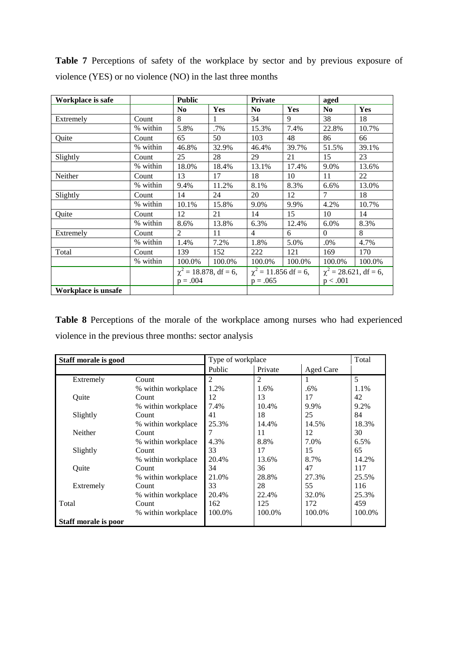**Table 7** Perceptions of safety of the workplace by sector and by previous exposure of violence (YES) or no violence (NO) in the last three months

| Workplace is safe   |          | <b>Public</b>              |            | <b>Private</b>            |        | aged                       |            |
|---------------------|----------|----------------------------|------------|---------------------------|--------|----------------------------|------------|
|                     |          | No.                        | <b>Yes</b> | N <sub>0</sub>            | Yes    | N <sub>0</sub>             | <b>Yes</b> |
| Extremely           | Count    | 8                          | 1.         | 34                        | 9      | 38                         | 18         |
|                     | % within | 5.8%                       | .7%        | 15.3%                     | 7.4%   | 22.8%                      | 10.7%      |
| Quite               | Count    | 65                         | 50         | 103                       | 48     | 86                         | 66         |
|                     | % within | 46.8%                      | 32.9%      | 46.4%                     | 39.7%  | 51.5%                      | 39.1%      |
| Slightly            | Count    | 25                         | 28         | 29                        | 21     | 15                         | 23         |
|                     | % within | 18.0%                      | 18.4%      | 13.1%                     | 17.4%  | 9.0%                       | 13.6%      |
| Neither             | Count    | 13                         | 17         | 18                        | 10     | 11                         | 22         |
|                     | % within | 9.4%                       | 11.2%      | 8.1%                      | 8.3%   | 6.6%                       | 13.0%      |
| Slightly            | Count    | 14                         | 24         | 20                        | 12     | $\tau$                     | 18         |
|                     | % within | 10.1%                      | 15.8%      | 9.0%                      | 9.9%   | 4.2%                       | 10.7%      |
| Quite               | Count    | 12                         | 21         | 14                        | 15     | 10                         | 14         |
|                     | % within | 8.6%                       | 13.8%      | 6.3%                      | 12.4%  | 6.0%                       | 8.3%       |
| Extremely           | Count    | $\overline{2}$             | 11         | $\overline{4}$            | 6      | $\Omega$                   | 8          |
|                     | % within | 1.4%                       | 7.2%       | 1.8%                      | 5.0%   | $.0\%$                     | 4.7%       |
| Total               | Count    | 139                        | 152        | 222                       | 121    | 169                        | 170        |
|                     | % within | 100.0%                     | 100.0%     | 100.0%                    | 100.0% | 100.0%                     | 100.0%     |
|                     |          | $\chi^2$ = 18.878, df = 6, |            | $\chi^2$ = 11.856 df = 6, |        | $\chi^2$ = 28.621, df = 6, |            |
|                     |          | $p = .004$                 |            | $p = .065$                |        | p < .001                   |            |
| Workplace is unsafe |          |                            |            |                           |        |                            |            |

**Table 8** Perceptions of the morale of the workplace among nurses who had experienced violence in the previous three months: sector analysis

| Staff morale is good |                    | Type of workplace |         |           |        |
|----------------------|--------------------|-------------------|---------|-----------|--------|
|                      |                    | Public            | Private | Aged Care |        |
| Extremely            | Count              | $\mathfrak{D}$    | 2       |           | 5      |
|                      | % within workplace | 1.2%              | 1.6%    | $.6\%$    | 1.1%   |
| Ouite                | Count              | 12                | 13      | 17        | 42     |
|                      | % within workplace | 7.4%              | 10.4%   | 9.9%      | 9.2%   |
| Slightly             | Count              | 41                | 18      | 25        | 84     |
|                      | % within workplace | 25.3%             | 14.4%   | 14.5%     | 18.3%  |
| <b>Neither</b>       | Count              |                   | 11      | 12        | 30     |
|                      | % within workplace | 4.3%              | 8.8%    | 7.0%      | 6.5%   |
| Slightly             | Count              | 33                | 17      | 15        | 65     |
|                      | % within workplace | 20.4%             | 13.6%   | 8.7%      | 14.2%  |
| Quite                | Count              | 34                | 36      | 47        | 117    |
|                      | % within workplace | 21.0%             | 28.8%   | 27.3%     | 25.5%  |
| Extremely            | Count              | 33                | 28      | 55        | 116    |
|                      | % within workplace | 20.4%             | 22.4%   | 32.0%     | 25.3%  |
| Total                | Count              | 162               | 125     | 172       | 459    |
|                      | % within workplace | 100.0%            | 100.0%  | 100.0%    | 100.0% |
| Staff morale is poor |                    |                   |         |           |        |